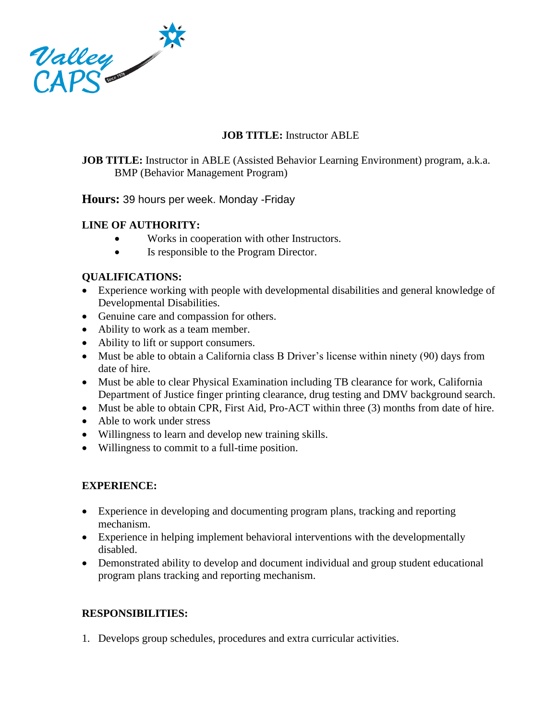

# **JOB TITLE:** Instructor ABLE

**JOB TITLE:** Instructor in ABLE (Assisted Behavior Learning Environment) program, a.k.a. BMP (Behavior Management Program)

### **Hours:** 39 hours per week. Monday -Friday

### **LINE OF AUTHORITY:**

- Works in cooperation with other Instructors.
- Is responsible to the Program Director.

### **QUALIFICATIONS:**

- Experience working with people with developmental disabilities and general knowledge of Developmental Disabilities.
- Genuine care and compassion for others.
- Ability to work as a team member.
- Ability to lift or support consumers.
- Must be able to obtain a California class B Driver's license within ninety (90) days from date of hire.
- Must be able to clear Physical Examination including TB clearance for work, California Department of Justice finger printing clearance, drug testing and DMV background search.
- Must be able to obtain CPR, First Aid, Pro-ACT within three (3) months from date of hire.
- Able to work under stress
- Willingness to learn and develop new training skills.
- Willingness to commit to a full-time position.

# **EXPERIENCE:**

- Experience in developing and documenting program plans, tracking and reporting mechanism.
- Experience in helping implement behavioral interventions with the developmentally disabled.
- Demonstrated ability to develop and document individual and group student educational program plans tracking and reporting mechanism.

# **RESPONSIBILITIES:**

1. Develops group schedules, procedures and extra curricular activities.